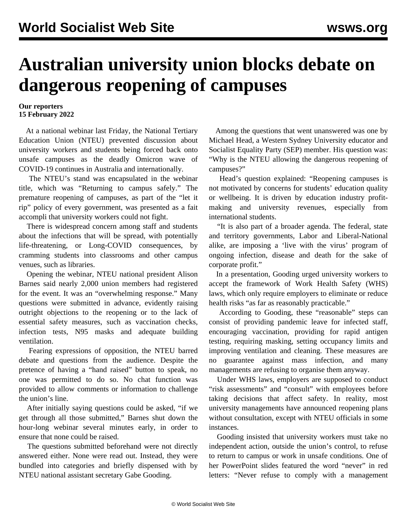## **Australian university union blocks debate on dangerous reopening of campuses**

## **Our reporters 15 February 2022**

 At a national webinar last Friday, the National Tertiary Education Union (NTEU) prevented discussion about university workers and students being forced back onto unsafe campuses as the deadly Omicron wave of COVID-19 continues in Australia and internationally.

 The NTEU's stand was encapsulated in the webinar title, which was "Returning to campus safely." The premature reopening of campuses, as part of the "let it rip" policy of every government, was presented as a fait accompli that university workers could not fight.

 There is widespread concern among staff and students about the infections that will be spread, with potentially life-threatening, or Long-COVID consequences, by cramming students into classrooms and other campus venues, such as libraries.

 Opening the webinar, NTEU national president Alison Barnes said nearly 2,000 union members had registered for the event. It was an "overwhelming response." Many questions were submitted in advance, evidently raising outright objections to the reopening or to the lack of essential safety measures, such as vaccination checks, infection tests, N95 masks and adequate building ventilation.

 Fearing expressions of opposition, the NTEU barred debate and questions from the audience. Despite the pretence of having a "hand raised" button to speak, no one was permitted to do so. No chat function was provided to allow comments or information to challenge the union's line.

 After initially saying questions could be asked, "if we get through all those submitted," Barnes shut down the hour-long webinar several minutes early, in order to ensure that none could be raised.

 The questions submitted beforehand were not directly answered either. None were read out. Instead, they were bundled into categories and briefly dispensed with by NTEU national assistant secretary Gabe Gooding.

 Among the questions that went unanswered was one by Michael Head, a Western Sydney University educator and Socialist Equality Party (SEP) member. His question was: "Why is the NTEU allowing the dangerous reopening of campuses?"

 Head's question explained: "Reopening campuses is not motivated by concerns for students' education quality or wellbeing. It is driven by education industry profitmaking and university revenues, especially from international students.

 "It is also part of a broader agenda. The federal, state and territory governments, Labor and Liberal-National alike, are imposing a 'live with the virus' program of ongoing infection, disease and death for the sake of corporate profit."

 In a presentation, Gooding urged university workers to accept the framework of Work Health Safety (WHS) laws, which only require employers to eliminate or reduce health risks "as far as reasonably practicable."

 According to Gooding, these "reasonable" steps can consist of providing pandemic leave for infected staff, encouraging vaccination, providing for rapid antigen testing, requiring masking, setting occupancy limits and improving ventilation and cleaning. These measures are no guarantee against mass infection, and many managements are refusing to organise them anyway.

 Under WHS laws, employers are supposed to conduct "risk assessments" and "consult" with employees before taking decisions that affect safety. In reality, most university managements have announced reopening plans without consultation, except with NTEU officials in some instances.

 Gooding insisted that university workers must take no independent action, outside the union's control, to refuse to return to campus or work in unsafe conditions. One of her PowerPoint slides featured the word "never" in red letters: "Never refuse to comply with a management